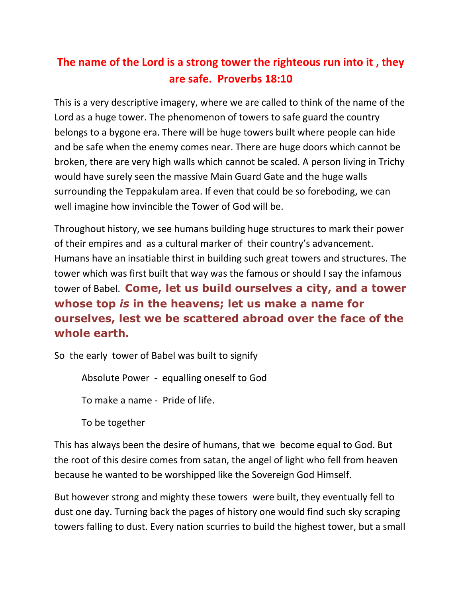## **The name of the Lord is a strong tower the righteous run into it , they are safe. Proverbs 18:10**

This is a very descriptive imagery, where we are called to think of the name of the Lord as a huge tower. The phenomenon of towers to safe guard the country belongs to a bygone era. There will be huge towers built where people can hide and be safe when the enemy comes near. There are huge doors which cannot be broken, there are very high walls which cannot be scaled. A person living in Trichy would have surely seen the massive Main Guard Gate and the huge walls surrounding the Teppakulam area. If even that could be so foreboding, we can well imagine how invincible the Tower of God will be.

Throughout history, we see humans building huge structures to mark their power of their empires and as a cultural marker of their country's advancement. Humans have an insatiable thirst in building such great towers and structures. The tower which was first built that way was the famous or should I say the infamous tower of Babel. **Come, let us build ourselves a city, and a tower whose top** *is* **in the heavens; let us make a name for ourselves, lest we be scattered abroad over the face of the whole earth.**

So the early tower of Babel was built to signify

Absolute Power - equalling oneself to God

To make a name - Pride of life.

To be together

This has always been the desire of humans, that we become equal to God. But the root of this desire comes from satan, the angel of light who fell from heaven because he wanted to be worshipped like the Sovereign God Himself.

But however strong and mighty these towers were built, they eventually fell to dust one day. Turning back the pages of history one would find such sky scraping towers falling to dust. Every nation scurries to build the highest tower, but a small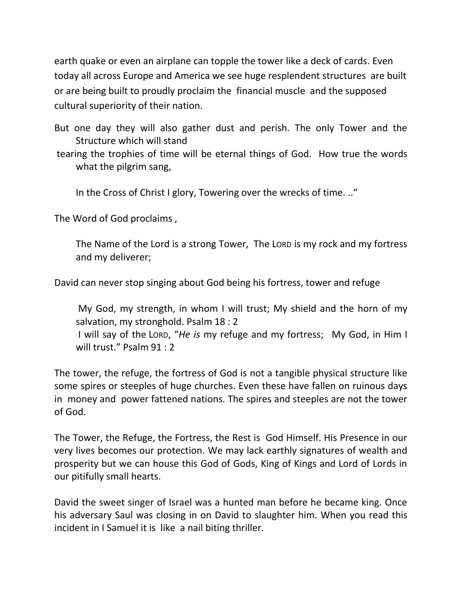earth quake or even an airplane can topple the tower like a deck of cards. Even today all across Europe and America we see huge resplendent structures are built or are being built to proudly proclaim the financial muscle and the supposed cultural superiority of their nation.

But one day they will also gather dust and perish. The only Tower and the Structure which will stand

tearing the trophies of time will be eternal things of God. How true the words what the pilgrim sang,

In the Cross of Christ I glory, Towering over the wrecks of time. .."

The Word of God proclaims ,

The Name of the Lord is a strong Tower, The LORD is my rock and my fortress and my deliverer;

David can never stop singing about God being his fortress, tower and refuge

My God, my strength, in whom I will trust; My shield and the horn of my salvation, my stronghold. Psalm 18 : 2

I will say of the LORD, "*He is* my refuge and my fortress; My God, in Him I will trust." Psalm 91 : 2

The tower, the refuge, the fortress of God is not a tangible physical structure like some spires or steeples of huge churches. Even these have fallen on ruinous days in money and power fattened nations. The spires and steeples are not the tower of God.

The Tower, the Refuge, the Fortress, the Rest is God Himself. His Presence in our very lives becomes our protection. We may lack earthly signatures of wealth and prosperity but we can house this God of Gods, King of Kings and Lord of Lords in our pitifully small hearts.

David the sweet singer of Israel was a hunted man before he became king. Once his adversary Saul was closing in on David to slaughter him. When you read this incident in I Samuel it is like a nail biting thriller.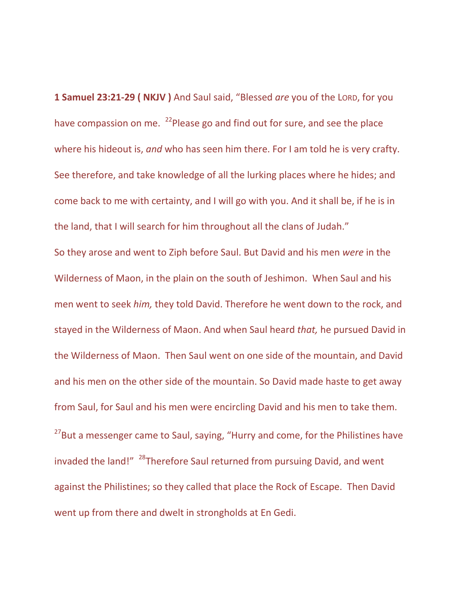**1 Samuel 23:21-29 ( NKJV )** And Saul said, "Blessed *are* you of the LORD, for you have compassion on me. <sup>22</sup>Please go and find out for sure, and see the place where his hideout is, *and* who has seen him there. For I am told he is very crafty. See therefore, and take knowledge of all the lurking places where he hides; and come back to me with certainty, and I will go with you. And it shall be, if he is in the land, that I will search for him throughout all the clans of Judah."

So they arose and went to Ziph before Saul. But David and his men *were* in the Wilderness of Maon, in the plain on the south of Jeshimon. When Saul and his men went to seek *him,* they told David. Therefore he went down to the rock, and stayed in the Wilderness of Maon. And when Saul heard *that,* he pursued David in the Wilderness of Maon. Then Saul went on one side of the mountain, and David and his men on the other side of the mountain. So David made haste to get away from Saul, for Saul and his men were encircling David and his men to take them. <sup>27</sup>But a messenger came to Saul, saying, "Hurry and come, for the Philistines have invaded the land!" <sup>28</sup>Therefore Saul returned from pursuing David, and went against the Philistines; so they called that place the Rock of Escape. Then David went up from there and dwelt in strongholds at En Gedi.